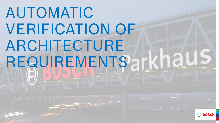# AUTOMATIC VERIFICATION OF ARCHITECTURE REQUIREMENTSarkhaus



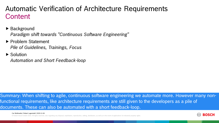### **Content** Automatic Verification of Architecture Requirements

- ▶ Background *Paradigm shift towards "Continuous Software Engineering"*
- ▶ Problem Statement *Pile of Guidelines, Trainings, Focus*
- ▶ Solution

*Automation and Short Feedback-loop*

Summary: When shifting to agile, continuous software engineering we automate more. However many nonfunctional requirements, like architecture requirements are still given to the developers as a pile of documents. These can also be automated with a short feedback-loop.

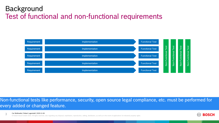# Test of functional and non-functional requirements Background



Non-functional tests like performance, security, open source legal compliance, etc. must be performed for every added or changed feature.

Car Multimedia | Robert Lagerstedt | 2019-11-04 3

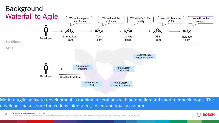

Modern agile software development is running in iterations with automation and short feedback-loops. The developer makes sure the code is integrated, tested and quality assured.

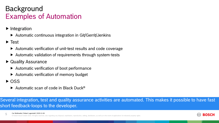# Examples of Automation Background

- $\blacktriangleright$  Integration
	- $\triangleright$  Automatic continuous integration in Git/Gerrit/Jenkins
- $\blacktriangleright$  Test
	- Automatic verification of unit-test results and code coverage
	- ▶ Automatic validation of requirements through system-tests
- ▶ Quality Assurance
	- $\blacktriangleright$  Automatic verification of boot performance
	- $\blacktriangleright$  Automatic verification of memory budget
- $\triangleright$  OSS
	- ▶ Automatic scan of code in Black Duck<sup>®</sup>

Several integration, test and quality assurance activities are automated. This makes it possible to have fast short feedback-loops to the developer.

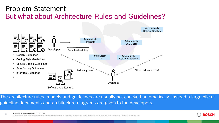## But what about Architecture Rules and Guidelines? Problem Statement



The architecture rules, models and guidelines are usually not checked automatically. Instead a large pile of guideline documents and architecture diagrams are given to the developers.

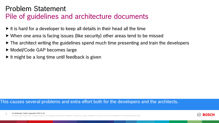#### Pile of guidelines and architecture documents Problem Statement

- $\blacktriangleright$  It is hard for a developer to keep all details in their head all the time
- When one area is facing issues (like security) other areas tend to be missed
- $\triangleright$  The architect writing the guidelines spend much time presenting and train the developers
- ▶ Model/Code GAP becomes large
- $\triangleright$  It might be a long time until feedback is given

#### This causes several problems and extra effort both for the developers and the architects.

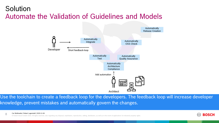# Automate the Validation of Guidelines and Models Solution



Use the toolchain to create a feedback loop for the developers. The feedback loop will increase developer knowledge, prevent mistakes and automatically govern the changes.

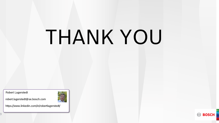# THANK YOU

Robert Lagerstedt

robert.lagerstedt@se.bosch.com



https://www.linkedin.com/in/robertlagerstedt/



9